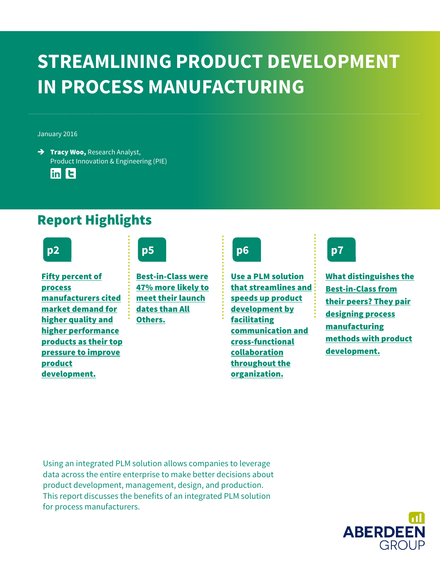### **STREAMLINING PRODUCT DEVELOPMENT IN PROCESS MANUFACTURING**

#### January 2016

 $\rightarrow$  Tracy Woo, Research Analyst, Product Innovation & Engineering (PIE)

 $\ln$   $\vert$  t

### Report Highlights



[Fifty percent of](#page-1-0)  [process](#page-1-0)  [manufacturers cited](#page-1-0)  [market demand for](#page-1-0)  [higher quality and](#page-1-0)  [higher performance](#page-1-0)  [products as their top](#page-1-0)  [pressure to improve](#page-1-0)  [product](#page-1-0)  [development.](#page-1-0)

### **p2 p5 p6 p7**

[Best-in-Class were](#page-3-0)  [47% more likely to](#page-3-0)  [meet their launch](#page-3-0)  [dates than All](#page-3-0)  [Others.](#page-3-0) 

[Use a PLM solution](#page-4-0)  [that streamlines and](#page-4-0)  [speeds up product](#page-4-0)  [development by](#page-4-0)  [facilitating](#page-4-0)  [communication and](#page-4-0)  [cross-functional](#page-4-0)  [collaboration](#page-4-0)  [throughout the](#page-4-0)  [organization.](#page-4-0)

[What distinguishes the](#page-6-0)  [Best-in-Class from](#page-6-0)  [their peers? They pair](#page-6-0)  [designing process](#page-6-0)  [manufacturing](#page-6-0)  [methods with product](#page-6-0)  [development.](#page-6-0) 

Using an integrated PLM solution allows companies to leverage data across the entire enterprise to make better decisions about product development, management, design, and production. This report discusses the benefits of an integrated PLM solution for process manufacturers.

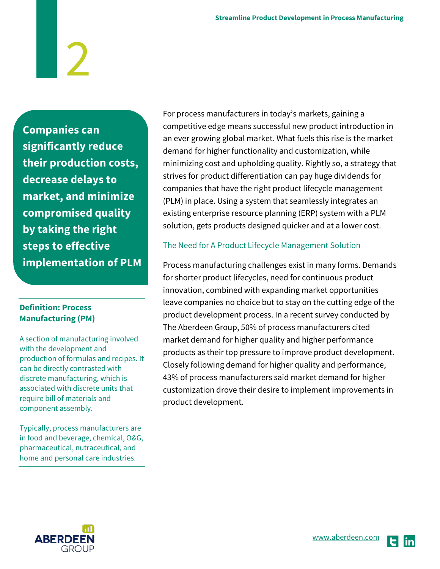**Companies can significantly reduce their production costs, decrease delays to market, and minimize compromised quality by taking the right steps to effective implementation of PLM**

#### **Definition: Process Manufacturing (PM)**

A section of manufacturing involved with the development and production of formulas and recipes. It can be directly contrasted with discrete manufacturing, which is associated with discrete units that require bill of materials and component assembly.

Typically, process manufacturers are in food and beverage, chemical, O&G, pharmaceutical, nutraceutical, and home and personal care industries.

For process manufacturers in today's markets, gaining a competitive edge means successful new product introduction in an ever growing global market. What fuels this rise is the market demand for higher functionality and customization, while minimizing cost and upholding quality. Rightly so, a strategy that strives for product differentiation can pay huge dividends for companies that have the right product lifecycle management (PLM) in place. Using a system that seamlessly integrates an existing enterprise resource planning (ERP) system with a PLM solution, gets products designed quicker and at a lower cost.

#### <span id="page-1-0"></span>The Need for A Product Lifecycle Management Solution

Process manufacturing challenges exist in many forms. Demands for shorter product lifecycles, need for continuous product innovation, combined with expanding market opportunities leave companies no choice but to stay on the cutting edge of the product development process. In a recent survey conducted by The Aberdeen Group, 50% of process manufacturers cited market demand for higher quality and higher performance products as their top pressure to improve product development. Closely following demand for higher quality and performance, 43% of process manufacturers said market demand for higher customization drove their desire to implement improvements in product development.



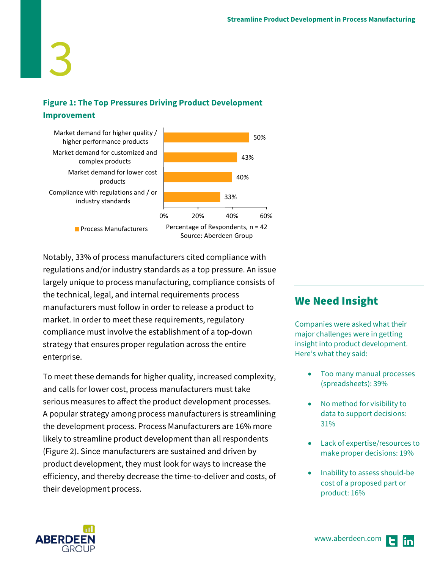#### **Figure 1: The Top Pressures Driving Product Development Improvement**



Notably, 33% of process manufacturers cited compliance with regulations and/or industry standards as a top pressure. An issue largely unique to process manufacturing, compliance consists of the technical, legal, and internal requirements process manufacturers must follow in order to release a product to market. In order to meet these requirements, regulatory compliance must involve the establishment of a top-down strategy that ensures proper regulation across the entire enterprise.

To meet these demands for higher quality, increased complexity, and calls for lower cost, process manufacturers must take serious measures to affect the product development processes. A popular strategy among process manufacturers is streamlining the development process. Process Manufacturers are 16% more likely to streamline product development than all respondents (Figure 2). Since manufacturers are sustained and driven by product development, they must look for ways to increase the efficiency, and thereby decrease the time-to-deliver and costs, of their development process.

#### We Need Insight

Companies were asked what their major challenges were in getting insight into product development. Here's what they said:

- Too many manual processes (spreadsheets): 39%
- No method for visibility to data to support decisions: 31%
- Lack of expertise/resources to make proper decisions: 19%
- Inability to assess should-be cost of a proposed part or product: 16%

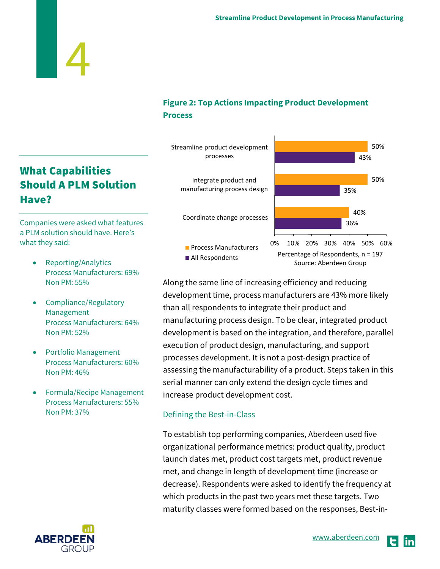#### **Figure 2: Top Actions Impacting Product Development Process**



Along the same line of increasing efficiency and reducing development time, process manufacturers are 43% more likely than all respondents to integrate their product and manufacturing process design. To be clear, integrated product development is based on the integration, and therefore, parallel execution of product design, manufacturing, and support processes development. It is not a post-design practice of assessing the manufacturability of a product. Steps taken in this serial manner can only extend the design cycle times and increase product development cost.

#### <span id="page-3-0"></span>Defining the Best-in-Class

To establish top performing companies, Aberdeen used five organizational performance metrics: product quality, product launch dates met, product cost targets met, product revenue met, and change in length of development time (increase or decrease). Respondents were asked to identify the frequency at which products in the past two years met these targets. Two maturity classes were formed based on the responses, Best-in-

#### What Capabilities Should A PLM Solution Have?

4

Companies were asked what features a PLM solution should have. Here's what they said:

- Reporting/Analytics Process Manufacturers: 69% Non PM: 55%
- Compliance/Regulatory Management Process Manufacturers: 64% Non PM: 52%
- Portfolio Management Process Manufacturers: 60% Non PM: 46%
- Formula/Recipe Management Process Manufacturers: 55% Non PM: 37%



in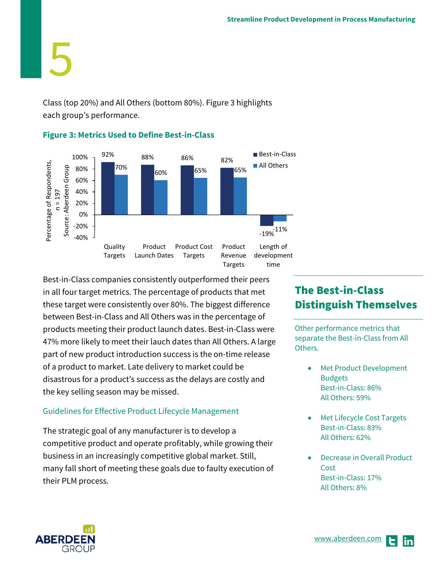Class (top 20%) and All Others (bottom 80%). Figure 3 highlights each group's performance.



#### **Figure 3: Metrics Used to Define Best-in-Class**

Best-in-Class companies consistently outperformed their peers in all four target metrics. The percentage of products that met these target were consistently over 80%. The biggest difference between Best-in-Class and All Others was in the percentage of products meeting their product launch dates. Best-in-Class were 47% more likely to meet their lauch dates than All Others. A large part of new product introduction success is the on-time release of a product to market. Late delivery to market could be disastrous for a product's success as the delays are costly and the key selling season may be missed.

#### <span id="page-4-0"></span>Guidelines for Effective Product Lifecycle Management

The strategic goal of any manufacturer is to develop a competitive product and operate profitably, while growing their business in an increasingly competitive global market. Still, many fall short of meeting these goals due to faulty execution of their PLM process.

#### The Best-in-Class Distinguish Themselves

Other performance metrics that separate the Best-in-Class from All Others.

- Met Product Development Budgets Best-in-Class: 86% All Others: 59%
- Met Lifecycle Cost Targets Best-in-Class: 83% All Others: 62%
- Decrease in Overall Product **Cost** Best-in-Class: 17% All Others: 8%

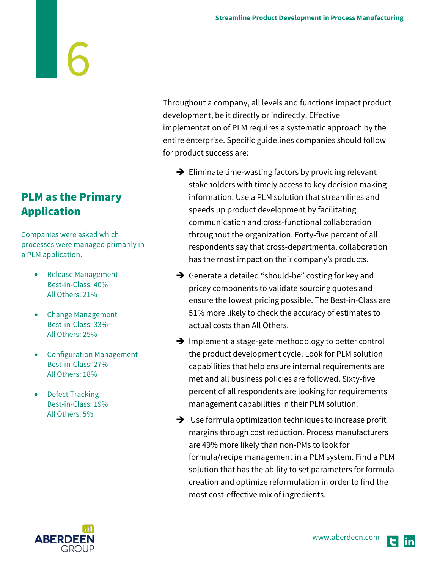#### PLM as the Primary Application

Companies were asked which processes were managed primarily in a PLM application.

- Release Management Best-in-Class: 40% All Others: 21%
- Change Management Best-in-Class: 33% All Others: 25%
- Configuration Management Best-in-Class: 27% All Others: 18%
- Defect Tracking Best-in-Class: 19% All Others: 5%

Throughout a company, all levels and functions impact product development, be it directly or indirectly. Effective implementation of PLM requires a systematic approach by the entire enterprise. Specific guidelines companies should follow for product success are:

- $\rightarrow$  Eliminate time-wasting factors by providing relevant stakeholders with timely access to key decision making information. Use a PLM solution that streamlines and speeds up product development by facilitating communication and cross-functional collaboration throughout the organization. Forty-five percent of all respondents say that cross-departmental collaboration has the most impact on their company's products.
- $\rightarrow$  Generate a detailed "should-be" costing for key and pricey components to validate sourcing quotes and ensure the lowest pricing possible. The Best-in-Class are 51% more likely to check the accuracy of estimates to actual costs than All Others.
- $\rightarrow$  Implement a stage-gate methodology to better control the product development cycle. Look for PLM solution capabilities that help ensure internal requirements are met and all business policies are followed. Sixty-five percent of all respondents are looking for requirements management capabilities in their PLM solution.
- $\rightarrow$  Use formula optimization techniques to increase profit margins through cost reduction. Process manufacturers are 49% more likely than non-PMs to look for formula/recipe management in a PLM system. Find a PLM solution that has the ability to set parameters for formula creation and optimize reformulation in order to find the most cost-effective mix of ingredients.



lin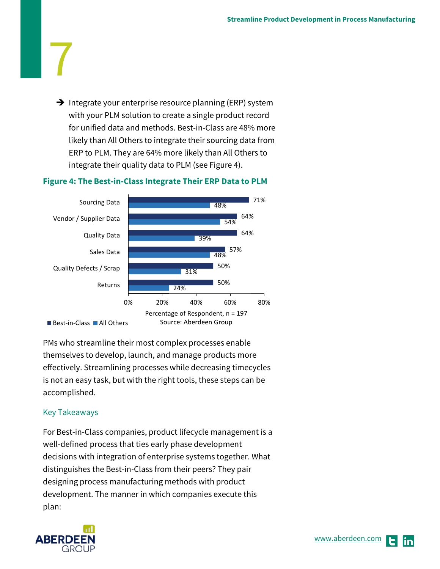$\rightarrow$  Integrate your enterprise resource planning (ERP) system with your PLM solution to create a single product record for unified data and methods. Best-in-Class are 48% more likely than All Others to integrate their sourcing data from ERP to PLM. They are 64% more likely than All Others to integrate their quality data to PLM (see Figure 4).

#### **Figure 4: The Best-in-Class Integrate Their ERP Data to PLM**



PMs who streamline their most complex processes enable themselves to develop, launch, and manage products more effectively. Streamlining processes while decreasing timecycles is not an easy task, but with the right tools, these steps can be accomplished.

#### <span id="page-6-0"></span>Key Takeaways

7

For Best-in-Class companies, product lifecycle management is a well-defined process that ties early phase development decisions with integration of enterprise systems together. What distinguishes the Best-in-Class from their peers? They pair designing process manufacturing methods with product development. The manner in which companies execute this plan:

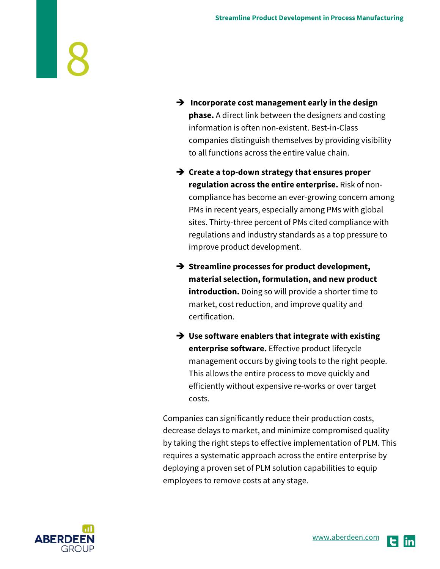- **Incorporate cost management early in the design phase.** A direct link between the designers and costing information is often non-existent. Best-in-Class companies distinguish themselves by providing visibility to all functions across the entire value chain.
- **Create a top-down strategy that ensures proper regulation across the entire enterprise.** Risk of noncompliance has become an ever-growing concern among PMs in recent years, especially among PMs with global sites. Thirty-three percent of PMs cited compliance with regulations and industry standards as a top pressure to improve product development.
- **→ Streamline processes for product development, material selection, formulation, and new product introduction.** Doing so will provide a shorter time to market, cost reduction, and improve quality and certification.
- **Use software enablers that integrate with existing enterprise software.** Effective product lifecycle management occurs by giving tools to the right people. This allows the entire process to move quickly and efficiently without expensive re-works or over target costs.

Companies can significantly reduce their production costs, decrease delays to market, and minimize compromised quality by taking the right steps to effective implementation of PLM. This requires a systematic approach across the entire enterprise by deploying a proven set of PLM solution capabilities to equip employees to remove costs at any stage.